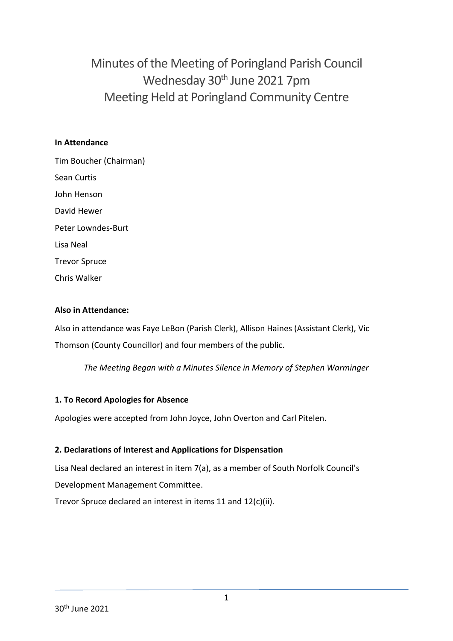Minutes of the Meeting of Poringland Parish Council Wednesday 30<sup>th</sup> June 2021 7pm Meeting Held at Poringland Community Centre

#### **In Attendance**

Tim Boucher (Chairman) Sean Curtis John Henson David Hewer Peter Lowndes-Burt Lisa Neal Trevor Spruce Chris Walker

#### **Also in Attendance:**

Also in attendance was Faye LeBon (Parish Clerk), Allison Haines (Assistant Clerk), Vic Thomson (County Councillor) and four members of the public.

*The Meeting Began with a Minutes Silence in Memory of Stephen Warminger*

#### **1. To Record Apologies for Absence**

Apologies were accepted from John Joyce, John Overton and Carl Pitelen.

### **2. Declarations of Interest and Applications for Dispensation**

Lisa Neal declared an interest in item 7(a), as a member of South Norfolk Council's Development Management Committee.

Trevor Spruce declared an interest in items 11 and 12(c)(ii).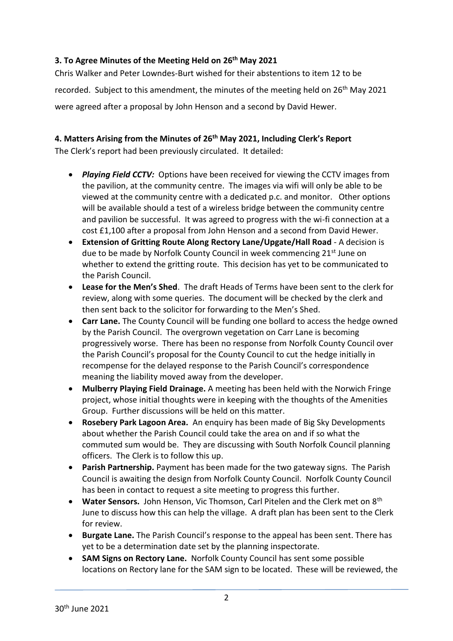# **3. To Agree Minutes of the Meeting Held on 26th May 2021**

Chris Walker and Peter Lowndes-Burt wished for their abstentions to item 12 to be recorded. Subject to this amendment, the minutes of the meeting held on 26<sup>th</sup> May 2021 were agreed after a proposal by John Henson and a second by David Hewer.

# **4. Matters Arising from the Minutes of 26th May 2021, Including Clerk's Report**

The Clerk's report had been previously circulated. It detailed:

- *Playing Field CCTV:* Options have been received for viewing the CCTV images from the pavilion, at the community centre. The images via wifi will only be able to be viewed at the community centre with a dedicated p.c. and monitor. Other options will be available should a test of a wireless bridge between the community centre and pavilion be successful. It was agreed to progress with the wi-fi connection at a cost £1,100 after a proposal from John Henson and a second from David Hewer.
- **Extension of Gritting Route Along Rectory Lane/Upgate/Hall Road** A decision is due to be made by Norfolk County Council in week commencing 21<sup>st</sup> June on whether to extend the gritting route. This decision has yet to be communicated to the Parish Council.
- **Lease for the Men's Shed**. The draft Heads of Terms have been sent to the clerk for review, along with some queries. The document will be checked by the clerk and then sent back to the solicitor for forwarding to the Men's Shed.
- **Carr Lane.** The County Council will be funding one bollard to access the hedge owned by the Parish Council. The overgrown vegetation on Carr Lane is becoming progressively worse. There has been no response from Norfolk County Council over the Parish Council's proposal for the County Council to cut the hedge initially in recompense for the delayed response to the Parish Council's correspondence meaning the liability moved away from the developer.
- **Mulberry Playing Field Drainage.** A meeting has been held with the Norwich Fringe project, whose initial thoughts were in keeping with the thoughts of the Amenities Group. Further discussions will be held on this matter.
- **Rosebery Park Lagoon Area.** An enquiry has been made of Big Sky Developments about whether the Parish Council could take the area on and if so what the commuted sum would be. They are discussing with South Norfolk Council planning officers. The Clerk is to follow this up.
- **Parish Partnership.** Payment has been made for the two gateway signs. The Parish Council is awaiting the design from Norfolk County Council. Norfolk County Council has been in contact to request a site meeting to progress this further.
- **Water Sensors.** John Henson, Vic Thomson, Carl Pitelen and the Clerk met on 8th June to discuss how this can help the village. A draft plan has been sent to the Clerk for review.
- **Burgate Lane.** The Parish Council's response to the appeal has been sent. There has yet to be a determination date set by the planning inspectorate.
- **SAM Signs on Rectory Lane.** Norfolk County Council has sent some possible locations on Rectory lane for the SAM sign to be located. These will be reviewed, the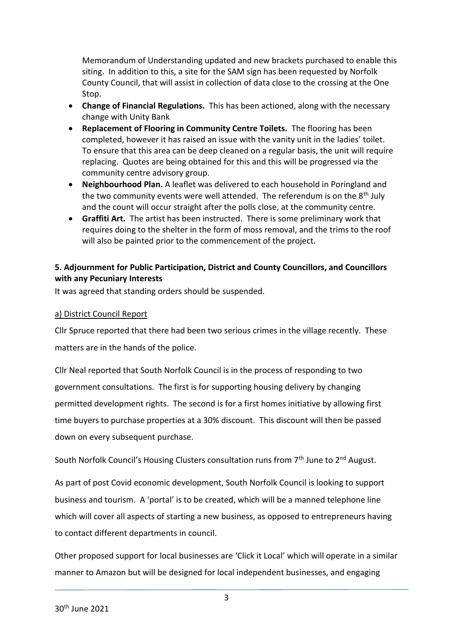Memorandum of Understanding updated and new brackets purchased to enable this siting. In addition to this, a site for the SAM sign has been requested by Norfolk County Council, that will assist in collection of data close to the crossing at the One Stop.

- **Change of Financial Regulations.** This has been actioned, along with the necessary change with Unity Bank
- **Replacement of Flooring in Community Centre Toilets.** The flooring has been completed, however it has raised an issue with the vanity unit in the ladies' toilet. To ensure that this area can be deep cleaned on a regular basis, the unit will require replacing. Quotes are being obtained for this and this will be progressed via the community centre advisory group.
- **Neighbourhood Plan.** A leaflet was delivered to each household in Poringland and the two community events were well attended. The referendum is on the 8<sup>th</sup> July and the count will occur straight after the polls close, at the community centre.
- **Graffiti Art.** The artist has been instructed. There is some preliminary work that requires doing to the shelter in the form of moss removal, and the trims to the roof will also be painted prior to the commencement of the project.

# **5. Adjournment for Public Participation, District and County Councillors, and Councillors with any Pecuniary Interests**

It was agreed that standing orders should be suspended.

### a) District Council Report

Cllr Spruce reported that there had been two serious crimes in the village recently. These matters are in the hands of the police.

Cllr Neal reported that South Norfolk Council is in the process of responding to two government consultations. The first is for supporting housing delivery by changing permitted development rights. The second is for a first homes initiative by allowing first time buyers to purchase properties at a 30% discount. This discount will then be passed down on every subsequent purchase.

South Norfolk Council's Housing Clusters consultation runs from 7<sup>th</sup> June to 2<sup>nd</sup> August.

As part of post Covid economic development, South Norfolk Council is looking to support business and tourism. A 'portal' is to be created, which will be a manned telephone line which will cover all aspects of starting a new business, as opposed to entrepreneurs having to contact different departments in council.

Other proposed support for local businesses are 'Click it Local' which will operate in a similar manner to Amazon but will be designed for local independent businesses, and engaging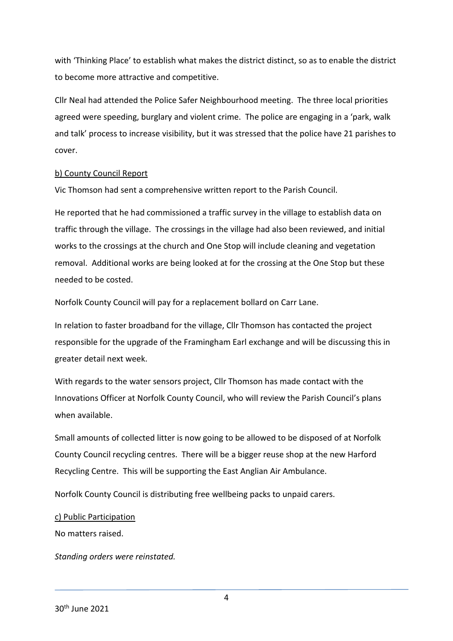with 'Thinking Place' to establish what makes the district distinct, so as to enable the district to become more attractive and competitive.

Cllr Neal had attended the Police Safer Neighbourhood meeting. The three local priorities agreed were speeding, burglary and violent crime. The police are engaging in a 'park, walk and talk' process to increase visibility, but it was stressed that the police have 21 parishes to cover.

#### b) County Council Report

Vic Thomson had sent a comprehensive written report to the Parish Council.

He reported that he had commissioned a traffic survey in the village to establish data on traffic through the village. The crossings in the village had also been reviewed, and initial works to the crossings at the church and One Stop will include cleaning and vegetation removal. Additional works are being looked at for the crossing at the One Stop but these needed to be costed.

Norfolk County Council will pay for a replacement bollard on Carr Lane.

In relation to faster broadband for the village, Cllr Thomson has contacted the project responsible for the upgrade of the Framingham Earl exchange and will be discussing this in greater detail next week.

With regards to the water sensors project, Cllr Thomson has made contact with the Innovations Officer at Norfolk County Council, who will review the Parish Council's plans when available.

Small amounts of collected litter is now going to be allowed to be disposed of at Norfolk County Council recycling centres. There will be a bigger reuse shop at the new Harford Recycling Centre. This will be supporting the East Anglian Air Ambulance.

Norfolk County Council is distributing free wellbeing packs to unpaid carers.

### c) Public Participation

No matters raised.

*Standing orders were reinstated.*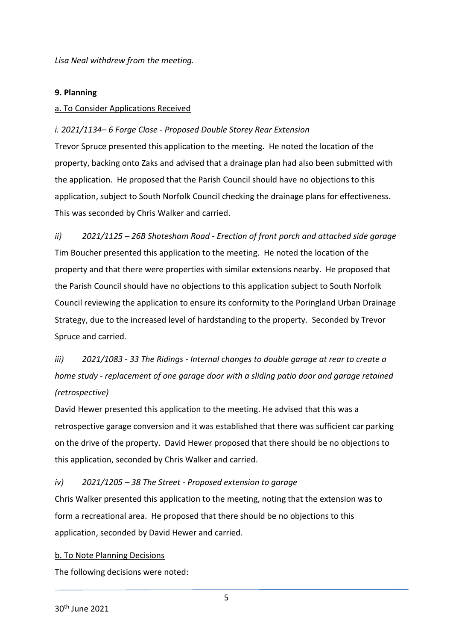*Lisa Neal withdrew from the meeting.* 

#### **9. Planning**

#### a. To Consider Applications Received

### *i. 2021/1134– 6 Forge Close - Proposed Double Storey Rear Extension*

Trevor Spruce presented this application to the meeting. He noted the location of the property, backing onto Zaks and advised that a drainage plan had also been submitted with the application. He proposed that the Parish Council should have no objections to this application, subject to South Norfolk Council checking the drainage plans for effectiveness. This was seconded by Chris Walker and carried.

*ii) 2021/1125 – 26B Shotesham Road - Erection of front porch and attached side garage* Tim Boucher presented this application to the meeting. He noted the location of the property and that there were properties with similar extensions nearby. He proposed that the Parish Council should have no objections to this application subject to South Norfolk Council reviewing the application to ensure its conformity to the Poringland Urban Drainage Strategy, due to the increased level of hardstanding to the property. Seconded by Trevor Spruce and carried.

*iii) 2021/1083 - 33 The Ridings - Internal changes to double garage at rear to create a home study - replacement of one garage door with a sliding patio door and garage retained (retrospective)*

David Hewer presented this application to the meeting. He advised that this was a retrospective garage conversion and it was established that there was sufficient car parking on the drive of the property. David Hewer proposed that there should be no objections to this application, seconded by Chris Walker and carried.

### *iv) 2021/1205 – 38 The Street - Proposed extension to garage*

Chris Walker presented this application to the meeting, noting that the extension was to form a recreational area. He proposed that there should be no objections to this application, seconded by David Hewer and carried.

#### b. To Note Planning Decisions

The following decisions were noted: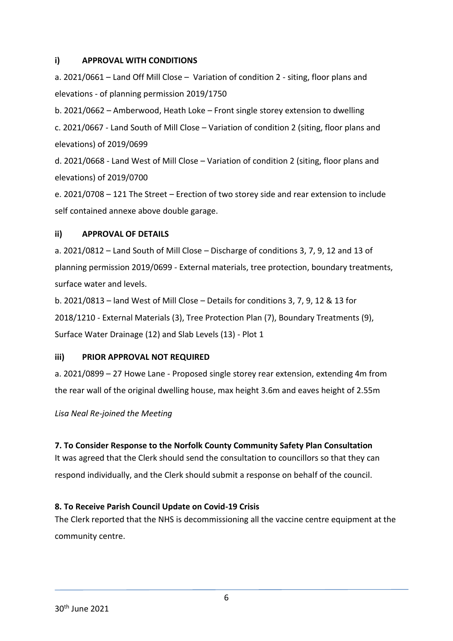#### **i) APPROVAL WITH CONDITIONS**

a. 2021/0661 – Land Off Mill Close – Variation of condition 2 - siting, floor plans and elevations - of planning permission 2019/1750

b. 2021/0662 – Amberwood, Heath Loke – Front single storey extension to dwelling c. 2021/0667 - Land South of Mill Close – Variation of condition 2 (siting, floor plans and elevations) of 2019/0699

d. 2021/0668 - Land West of Mill Close – Variation of condition 2 (siting, floor plans and elevations) of 2019/0700

e. 2021/0708 – 121 The Street – Erection of two storey side and rear extension to include self contained annexe above double garage.

### **ii) APPROVAL OF DETAILS**

a. 2021/0812 – Land South of Mill Close – Discharge of conditions 3, 7, 9, 12 and 13 of planning permission 2019/0699 - External materials, tree protection, boundary treatments, surface water and levels.

b. 2021/0813 – land West of Mill Close – Details for conditions 3, 7, 9, 12 & 13 for 2018/1210 - External Materials (3), Tree Protection Plan (7), Boundary Treatments (9), Surface Water Drainage (12) and Slab Levels (13) - Plot 1

### **iii) PRIOR APPROVAL NOT REQUIRED**

a. 2021/0899 – 27 Howe Lane - Proposed single storey rear extension, extending 4m from the rear wall of the original dwelling house, max height 3.6m and eaves height of 2.55m

*Lisa Neal Re-joined the Meeting*

### **7. To Consider Response to the Norfolk County Community Safety Plan Consultation**

It was agreed that the Clerk should send the consultation to councillors so that they can respond individually, and the Clerk should submit a response on behalf of the council.

### **8. To Receive Parish Council Update on Covid-19 Crisis**

The Clerk reported that the NHS is decommissioning all the vaccine centre equipment at the community centre.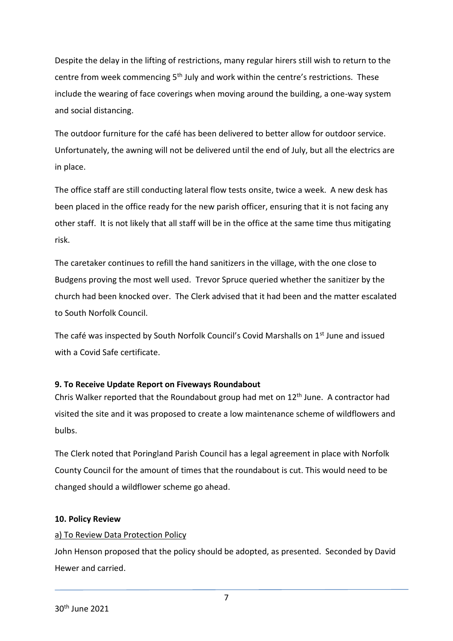Despite the delay in the lifting of restrictions, many regular hirers still wish to return to the centre from week commencing 5<sup>th</sup> July and work within the centre's restrictions. These include the wearing of face coverings when moving around the building, a one-way system and social distancing.

The outdoor furniture for the café has been delivered to better allow for outdoor service. Unfortunately, the awning will not be delivered until the end of July, but all the electrics are in place.

The office staff are still conducting lateral flow tests onsite, twice a week. A new desk has been placed in the office ready for the new parish officer, ensuring that it is not facing any other staff. It is not likely that all staff will be in the office at the same time thus mitigating risk.

The caretaker continues to refill the hand sanitizers in the village, with the one close to Budgens proving the most well used. Trevor Spruce queried whether the sanitizer by the church had been knocked over. The Clerk advised that it had been and the matter escalated to South Norfolk Council.

The café was inspected by South Norfolk Council's Covid Marshalls on 1<sup>st</sup> June and issued with a Covid Safe certificate.

# **9. To Receive Update Report on Fiveways Roundabout**

Chris Walker reported that the Roundabout group had met on 12<sup>th</sup> June. A contractor had visited the site and it was proposed to create a low maintenance scheme of wildflowers and bulbs.

The Clerk noted that Poringland Parish Council has a legal agreement in place with Norfolk County Council for the amount of times that the roundabout is cut. This would need to be changed should a wildflower scheme go ahead.

### **10. Policy Review**

### a) To Review Data Protection Policy

John Henson proposed that the policy should be adopted, as presented. Seconded by David Hewer and carried.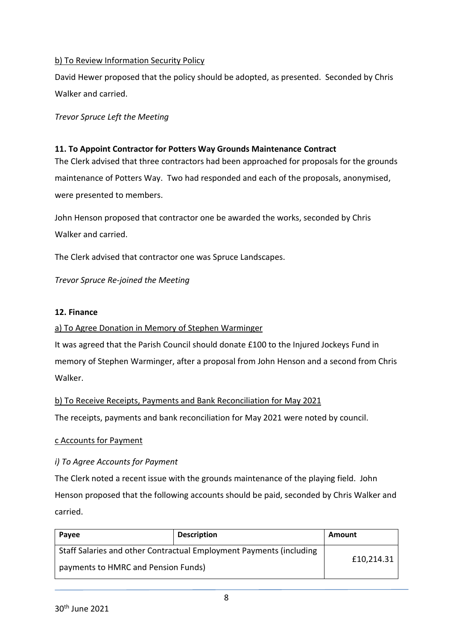### b) To Review Information Security Policy

David Hewer proposed that the policy should be adopted, as presented. Seconded by Chris Walker and carried.

*Trevor Spruce Left the Meeting*

### **11. To Appoint Contractor for Potters Way Grounds Maintenance Contract**

The Clerk advised that three contractors had been approached for proposals for the grounds maintenance of Potters Way. Two had responded and each of the proposals, anonymised, were presented to members.

John Henson proposed that contractor one be awarded the works, seconded by Chris Walker and carried.

The Clerk advised that contractor one was Spruce Landscapes.

*Trevor Spruce Re-joined the Meeting*

#### **12. Finance**

#### a) To Agree Donation in Memory of Stephen Warminger

It was agreed that the Parish Council should donate £100 to the Injured Jockeys Fund in memory of Stephen Warminger, after a proposal from John Henson and a second from Chris Walker.

#### b) To Receive Receipts, Payments and Bank Reconciliation for May 2021

The receipts, payments and bank reconciliation for May 2021 were noted by council.

#### c Accounts for Payment

### *i) To Agree Accounts for Payment*

The Clerk noted a recent issue with the grounds maintenance of the playing field. John Henson proposed that the following accounts should be paid, seconded by Chris Walker and carried.

| Payee                                                               | <b>Description</b> | Amount     |
|---------------------------------------------------------------------|--------------------|------------|
| Staff Salaries and other Contractual Employment Payments (including |                    | £10,214.31 |
| payments to HMRC and Pension Funds)                                 |                    |            |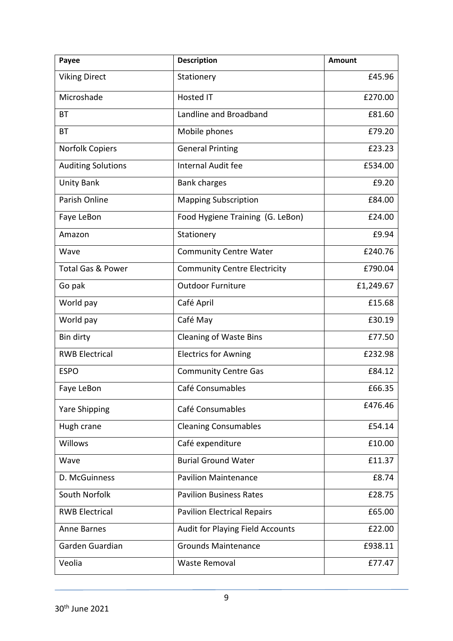| Payee                        | <b>Description</b>                  | <b>Amount</b> |
|------------------------------|-------------------------------------|---------------|
| <b>Viking Direct</b>         | Stationery                          | £45.96        |
| Microshade                   | <b>Hosted IT</b>                    | £270.00       |
| ВT                           | Landline and Broadband              | £81.60        |
| <b>BT</b>                    | Mobile phones                       | £79.20        |
| Norfolk Copiers              | <b>General Printing</b>             | £23.23        |
| <b>Auditing Solutions</b>    | Internal Audit fee                  | £534.00       |
| <b>Unity Bank</b>            | <b>Bank charges</b>                 | £9.20         |
| Parish Online                | <b>Mapping Subscription</b>         | £84.00        |
| Faye LeBon                   | Food Hygiene Training (G. LeBon)    | £24.00        |
| Amazon                       | Stationery                          | £9.94         |
| Wave                         | <b>Community Centre Water</b>       | £240.76       |
| <b>Total Gas &amp; Power</b> | <b>Community Centre Electricity</b> | £790.04       |
| Go pak                       | <b>Outdoor Furniture</b>            | £1,249.67     |
| World pay                    | Café April                          | £15.68        |
| World pay                    | Café May                            | £30.19        |
| Bin dirty                    | <b>Cleaning of Waste Bins</b>       | £77.50        |
| <b>RWB Electrical</b>        | <b>Electrics for Awning</b>         | £232.98       |
| <b>ESPO</b>                  | <b>Community Centre Gas</b>         | £84.12        |
| Faye LeBon                   | Café Consumables                    | £66.35        |
| <b>Yare Shipping</b>         | Café Consumables                    | £476.46       |
| Hugh crane                   | <b>Cleaning Consumables</b>         | £54.14        |
| Willows                      | Café expenditure                    | £10.00        |
| Wave                         | <b>Burial Ground Water</b>          | £11.37        |
| D. McGuinness                | <b>Pavilion Maintenance</b>         | £8.74         |
| South Norfolk                | <b>Pavilion Business Rates</b>      | £28.75        |
| <b>RWB Electrical</b>        | <b>Pavilion Electrical Repairs</b>  | £65.00        |
| <b>Anne Barnes</b>           | Audit for Playing Field Accounts    | £22.00        |
| Garden Guardian              | <b>Grounds Maintenance</b>          | £938.11       |
| Veolia                       | <b>Waste Removal</b>                | £77.47        |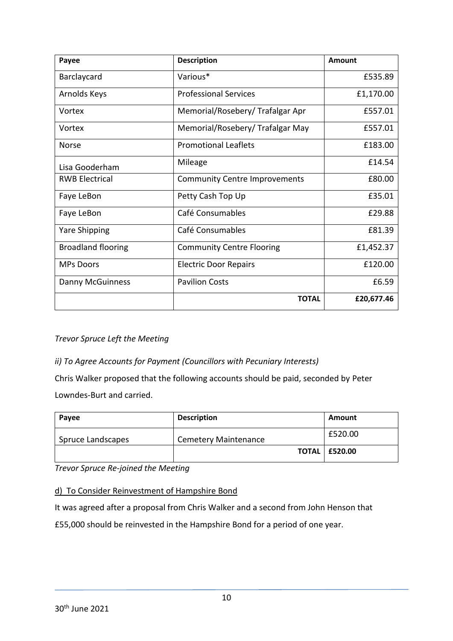| Payee                     | <b>Description</b>                   | Amount     |
|---------------------------|--------------------------------------|------------|
| Barclaycard               | Various*                             | £535.89    |
| Arnolds Keys              | <b>Professional Services</b>         | £1,170.00  |
| Vortex                    | Memorial/Rosebery/Trafalgar Apr      | £557.01    |
| Vortex                    | Memorial/Rosebery/ Trafalgar May     | £557.01    |
| <b>Norse</b>              | <b>Promotional Leaflets</b>          | £183.00    |
| Lisa Gooderham            | Mileage                              | £14.54     |
| <b>RWB Electrical</b>     | <b>Community Centre Improvements</b> | £80.00     |
| Faye LeBon                | Petty Cash Top Up                    | £35.01     |
| Faye LeBon                | Café Consumables                     | £29.88     |
| <b>Yare Shipping</b>      | Café Consumables                     | £81.39     |
| <b>Broadland flooring</b> | <b>Community Centre Flooring</b>     | £1,452.37  |
| <b>MPs Doors</b>          | <b>Electric Door Repairs</b>         | £120.00    |
| Danny McGuinness          | <b>Pavilion Costs</b>                | £6.59      |
|                           | <b>TOTAL</b>                         | £20,677.46 |

*Trevor Spruce Left the Meeting*

# *ii) To Agree Accounts for Payment (Councillors with Pecuniary Interests)*

Chris Walker proposed that the following accounts should be paid, seconded by Peter Lowndes-Burt and carried.

| Payee             | <b>Description</b>          | Amount                 |
|-------------------|-----------------------------|------------------------|
| Spruce Landscapes | <b>Cemetery Maintenance</b> | £520.00                |
|                   |                             | <b>TOTAL   £520.00</b> |

*Trevor Spruce Re-joined the Meeting*

### d) To Consider Reinvestment of Hampshire Bond

It was agreed after a proposal from Chris Walker and a second from John Henson that

£55,000 should be reinvested in the Hampshire Bond for a period of one year.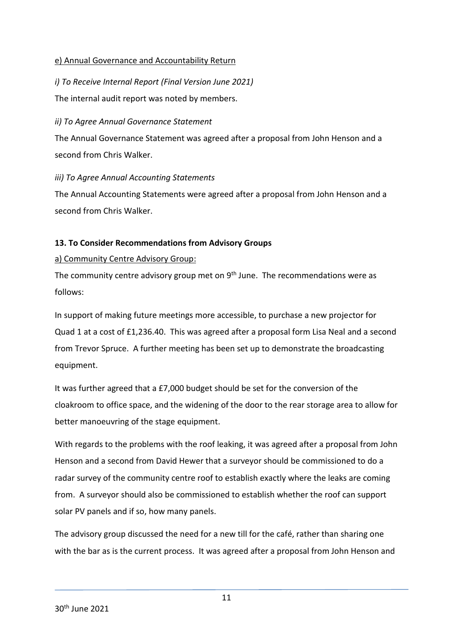### e) Annual Governance and Accountability Return

*i) To Receive Internal Report (Final Version June 2021)* The internal audit report was noted by members.

### *ii) To Agree Annual Governance Statement*

The Annual Governance Statement was agreed after a proposal from John Henson and a second from Chris Walker.

### *iii) To Agree Annual Accounting Statements*

The Annual Accounting Statements were agreed after a proposal from John Henson and a second from Chris Walker.

### **13. To Consider Recommendations from Advisory Groups**

### a) Community Centre Advisory Group:

The community centre advisory group met on 9<sup>th</sup> June. The recommendations were as follows:

In support of making future meetings more accessible, to purchase a new projector for Quad 1 at a cost of £1,236.40. This was agreed after a proposal form Lisa Neal and a second from Trevor Spruce. A further meeting has been set up to demonstrate the broadcasting equipment.

It was further agreed that a £7,000 budget should be set for the conversion of the cloakroom to office space, and the widening of the door to the rear storage area to allow for better manoeuvring of the stage equipment.

With regards to the problems with the roof leaking, it was agreed after a proposal from John Henson and a second from David Hewer that a surveyor should be commissioned to do a radar survey of the community centre roof to establish exactly where the leaks are coming from. A surveyor should also be commissioned to establish whether the roof can support solar PV panels and if so, how many panels.

The advisory group discussed the need for a new till for the café, rather than sharing one with the bar as is the current process. It was agreed after a proposal from John Henson and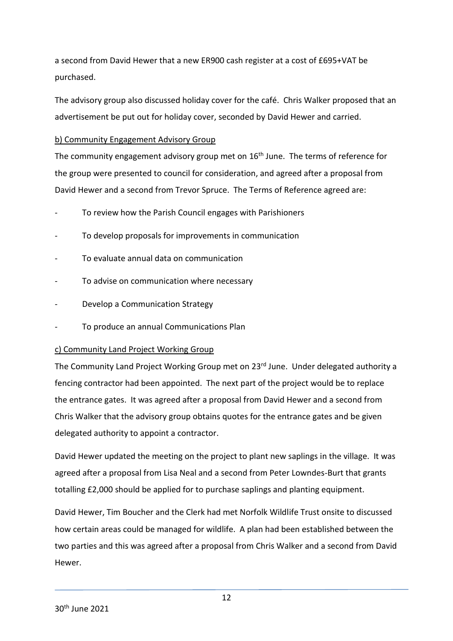a second from David Hewer that a new ER900 cash register at a cost of £695+VAT be purchased.

The advisory group also discussed holiday cover for the café. Chris Walker proposed that an advertisement be put out for holiday cover, seconded by David Hewer and carried.

### b) Community Engagement Advisory Group

The community engagement advisory group met on  $16<sup>th</sup>$  June. The terms of reference for the group were presented to council for consideration, and agreed after a proposal from David Hewer and a second from Trevor Spruce. The Terms of Reference agreed are:

- To review how the Parish Council engages with Parishioners
- To develop proposals for improvements in communication
- To evaluate annual data on communication
- To advise on communication where necessary
- Develop a Communication Strategy
- To produce an annual Communications Plan

# c) Community Land Project Working Group

The Community Land Project Working Group met on 23<sup>rd</sup> June. Under delegated authority a fencing contractor had been appointed. The next part of the project would be to replace the entrance gates. It was agreed after a proposal from David Hewer and a second from Chris Walker that the advisory group obtains quotes for the entrance gates and be given delegated authority to appoint a contractor.

David Hewer updated the meeting on the project to plant new saplings in the village. It was agreed after a proposal from Lisa Neal and a second from Peter Lowndes-Burt that grants totalling £2,000 should be applied for to purchase saplings and planting equipment.

David Hewer, Tim Boucher and the Clerk had met Norfolk Wildlife Trust onsite to discussed how certain areas could be managed for wildlife. A plan had been established between the two parties and this was agreed after a proposal from Chris Walker and a second from David Hewer.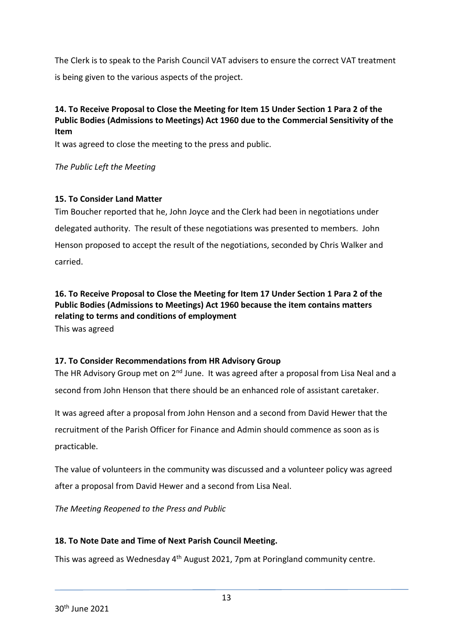The Clerk is to speak to the Parish Council VAT advisers to ensure the correct VAT treatment is being given to the various aspects of the project.

### **14. To Receive Proposal to Close the Meeting for Item 15 Under Section 1 Para 2 of the Public Bodies (Admissions to Meetings) Act 1960 due to the Commercial Sensitivity of the Item**

It was agreed to close the meeting to the press and public.

*The Public Left the Meeting*

### **15. To Consider Land Matter**

Tim Boucher reported that he, John Joyce and the Clerk had been in negotiations under delegated authority. The result of these negotiations was presented to members. John Henson proposed to accept the result of the negotiations, seconded by Chris Walker and carried.

# **16. To Receive Proposal to Close the Meeting for Item 17 Under Section 1 Para 2 of the Public Bodies (Admissions to Meetings) Act 1960 because the item contains matters relating to terms and conditions of employment**

This was agreed

### **17. To Consider Recommendations from HR Advisory Group**

The HR Advisory Group met on  $2^{nd}$  June. It was agreed after a proposal from Lisa Neal and a second from John Henson that there should be an enhanced role of assistant caretaker.

It was agreed after a proposal from John Henson and a second from David Hewer that the recruitment of the Parish Officer for Finance and Admin should commence as soon as is practicable.

The value of volunteers in the community was discussed and a volunteer policy was agreed after a proposal from David Hewer and a second from Lisa Neal.

*The Meeting Reopened to the Press and Public*

# **18. To Note Date and Time of Next Parish Council Meeting.**

This was agreed as Wednesday 4<sup>th</sup> August 2021, 7pm at Poringland community centre.